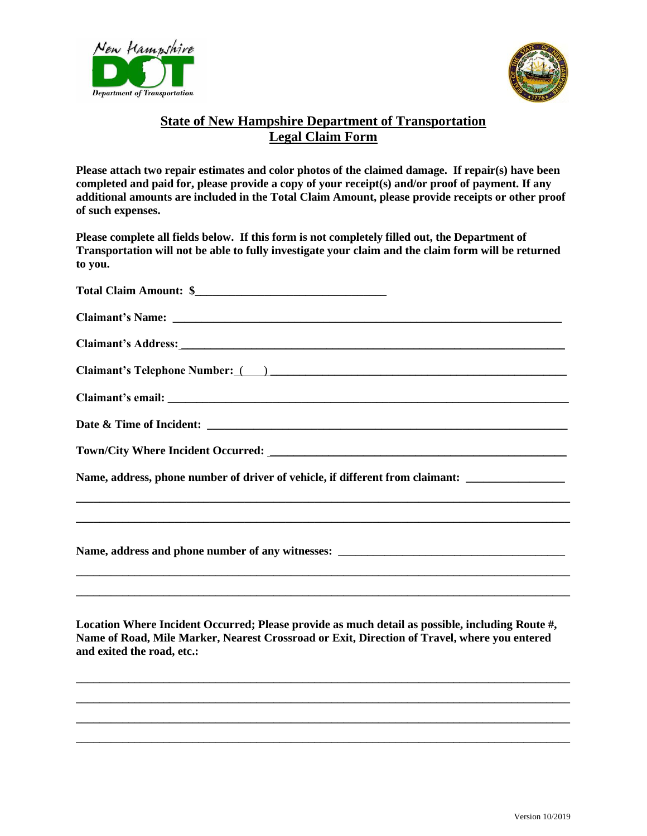



## **State of New Hampshire Department of Transportation Legal Claim Form**

**Please attach two repair estimates and color photos of the claimed damage. If repair(s) have been completed and paid for, please provide a copy of your receipt(s) and/or proof of payment. If any additional amounts are included in the Total Claim Amount, please provide receipts or other proof of such expenses.**

**Please complete all fields below. If this form is not completely filled out, the Department of Transportation will not be able to fully investigate your claim and the claim form will be returned to you.**

| Claimant's Address: 1988 and 2008 and 2008 and 2008 and 2008 and 2008 and 2008 and 2008 and 2008 and 2008 and 2008 and 2008 and 2008 and 2008 and 2008 and 2008 and 2008 and 2008 and 2008 and 2008 and 2008 and 2008 and 2008 |
|--------------------------------------------------------------------------------------------------------------------------------------------------------------------------------------------------------------------------------|
|                                                                                                                                                                                                                                |
|                                                                                                                                                                                                                                |
|                                                                                                                                                                                                                                |
|                                                                                                                                                                                                                                |
| Name, address, phone number of driver of vehicle, if different from claimant:<br><u>,这就是一个人的人,我们就是一个人的人,我们就是一个人的人,我们就是一个人的人,我们就是一个人的人,我们就是一个人的人,我们就是一个人的人,我们就是一个人的人</u>                                                        |
|                                                                                                                                                                                                                                |
|                                                                                                                                                                                                                                |
| Location Where Incident Occurred; Please provide as much detail as possible, including Route #,<br>Name of Road, Mile Marker, Nearest Crossroad or Exit, Direction of Travel, where you entered<br>and exited the road, etc.:  |

**\_\_\_\_\_\_\_\_\_\_\_\_\_\_\_\_\_\_\_\_\_\_\_\_\_\_\_\_\_\_\_\_\_\_\_\_\_\_\_\_\_\_\_\_\_\_\_\_\_\_\_\_\_\_\_\_\_\_\_\_\_\_\_\_\_\_\_\_\_\_\_\_\_\_\_\_\_\_\_\_\_\_\_\_\_ \_\_\_\_\_\_\_\_\_\_\_\_\_\_\_\_\_\_\_\_\_\_\_\_\_\_\_\_\_\_\_\_\_\_\_\_\_\_\_\_\_\_\_\_\_\_\_\_\_\_\_\_\_\_\_\_\_\_\_\_\_\_\_\_\_\_\_\_\_\_\_\_\_\_\_\_\_\_\_\_\_\_\_\_\_** \_\_\_\_\_\_\_\_\_\_\_\_\_\_\_\_\_\_\_\_\_\_\_\_\_\_\_\_\_\_\_\_\_\_\_\_\_\_\_\_\_\_\_\_\_\_\_\_\_\_\_\_\_\_\_\_\_\_\_\_\_\_\_\_\_\_\_\_\_\_\_\_\_\_\_\_\_\_\_\_\_\_\_\_\_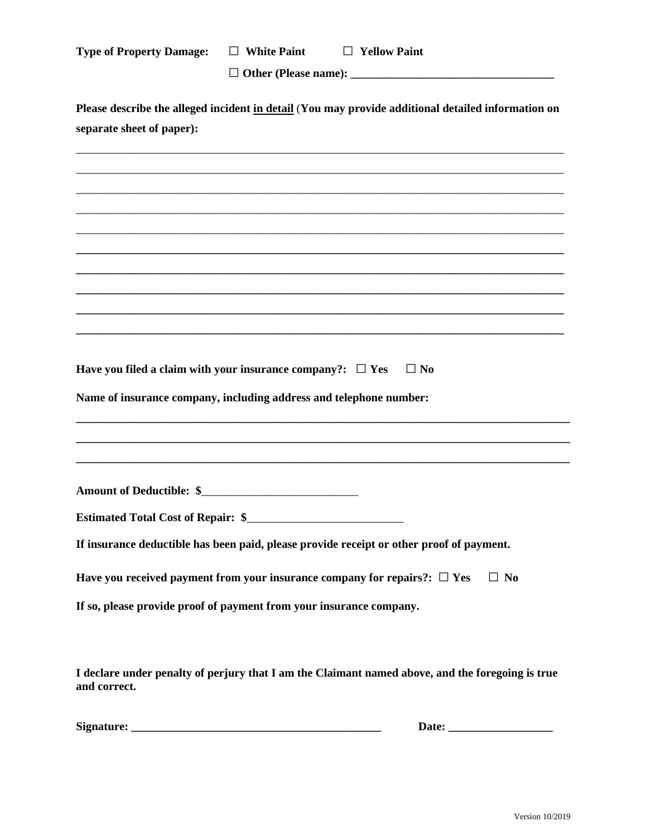| <b>Type of Property Damage:</b>                                                                                                 | $\Box$ White Paint | $\Box$ Yellow Paint                                                                              |  |  |
|---------------------------------------------------------------------------------------------------------------------------------|--------------------|--------------------------------------------------------------------------------------------------|--|--|
| Please describe the alleged incident in detail (You may provide additional detailed information on<br>separate sheet of paper): |                    |                                                                                                  |  |  |
|                                                                                                                                 |                    |                                                                                                  |  |  |
|                                                                                                                                 |                    |                                                                                                  |  |  |
|                                                                                                                                 |                    |                                                                                                  |  |  |
| Have you filed a claim with your insurance company?: $\Box$ Yes                                                                 |                    | $\Box$ No                                                                                        |  |  |
| Name of insurance company, including address and telephone number:                                                              |                    |                                                                                                  |  |  |
|                                                                                                                                 |                    |                                                                                                  |  |  |
| Amount of Deductible: \$                                                                                                        |                    |                                                                                                  |  |  |
| <b>Estimated Total Cost of Repair: \$</b>                                                                                       |                    |                                                                                                  |  |  |
|                                                                                                                                 |                    | If insurance deductible has been paid, please provide receipt or other proof of payment.         |  |  |
|                                                                                                                                 |                    | Have you received payment from your insurance company for repairs?: $\Box$ Yes<br>$\Box$ No      |  |  |
| If so, please provide proof of payment from your insurance company.                                                             |                    |                                                                                                  |  |  |
| and correct.                                                                                                                    |                    | I declare under penalty of perjury that I am the Claimant named above, and the foregoing is true |  |  |

| Signature: |  |  |
|------------|--|--|
|------------|--|--|